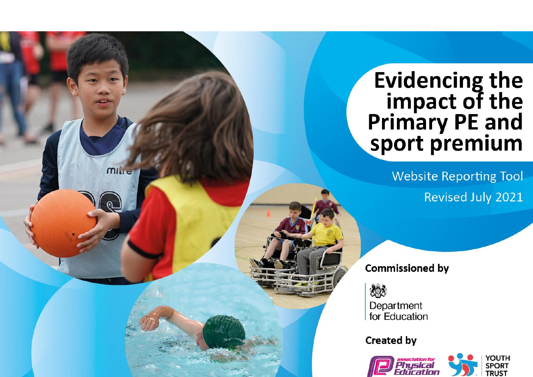# Evidencing the<br>
impact of the<br>
Primary PE and<br>
sport premium

**Website Reporting Tool Revised July 2021** 

# **Commissioned by**

燃 Department for Education

mille

# **Created by**

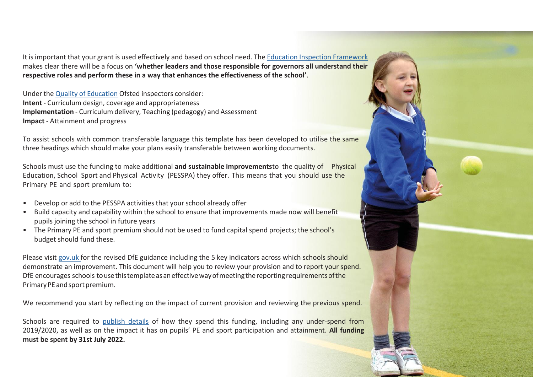It isimportant that your grant is used effectively and based on school need. The Education Inspection Framework makes clear there will be a focus on **'whether leaders and those responsible for governors all understand their respective roles and perform these in a way that enhances the effectiveness of the school'**.

Under the Quality of Education Ofsted inspectors consider: **Intent** - Curriculum design, coverage and appropriateness **Implementation** - Curriculum delivery, Teaching (pedagogy) and Assessment **Impact** - Attainment and progress

To assist schools with common transferable language this template has been developed to utilise the same three headings which should make your plans easily transferable between working documents.

Schools must use the funding to make additional **and sustainable improvements**to the quality of Physical Education, School Sport and Physical Activity (PESSPA) they offer. This means that you should use the Primary PE and sport premium to:

- Develop or add to the PESSPA activities that your school already offer
- Build capacity and capability within the school to ensure that improvements made now will benefit pupils joining the school in future years
- The Primary PE and sport premium should not be used to fund capital spend projects; the school's budget should fund these.

Please visit gov.uk for the revised DfE guidance including the 5 key indicators across which schools should demonstrate an improvement. This document will help you to review your provision and to report your spend. DfE encourages schools to use this template as an effective way of meeting the reporting requirements of the Primary PE and sport premium.

We recommend you start by reflecting on the impact of current provision and reviewing the previous spend.

Schools are required to publish details of how they spend this funding, including any under-spend from 2019/2020, as well as on the impact it has on pupils' PE and sport participation and attainment. **All funding must be spent by 31st July 2022.**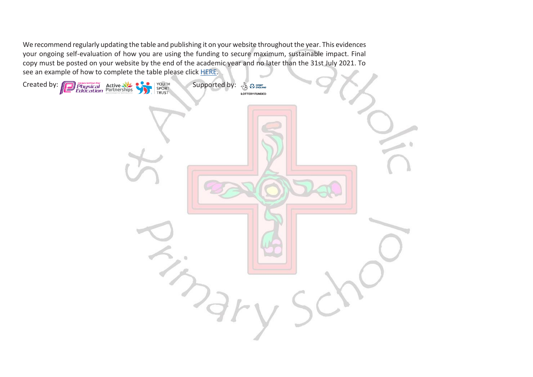We recommend regularly updating the table and publishing it on your website throughout the year. This evidences your ongoing self-evaluation of how you are using the funding to secure maximum, sustainable impact. Final copy must be posted on your website by the end of the academic year and no later than the 31st July 2021. To see an example of how to complete the table please click HERE.

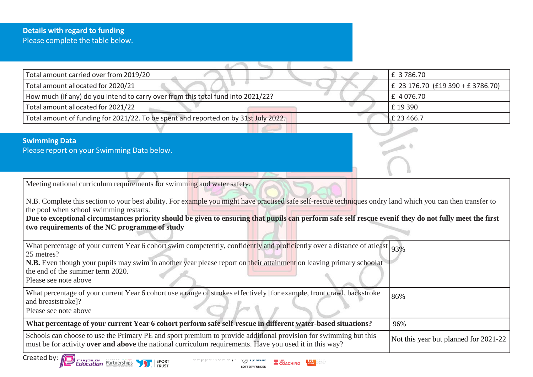### **Details with regard to funding** Please complete the table below.

| Total amount carried over from 2019/20                                                                                                                                                                                                                                                                                                                                                                                                                                                       | £ 3786.70                             |
|----------------------------------------------------------------------------------------------------------------------------------------------------------------------------------------------------------------------------------------------------------------------------------------------------------------------------------------------------------------------------------------------------------------------------------------------------------------------------------------------|---------------------------------------|
| Total amount allocated for 2020/21                                                                                                                                                                                                                                                                                                                                                                                                                                                           | £ 23 176.70 (£19 390 + £ 3786.70)     |
| How much (if any) do you intend to carry over from this total fund into 2021/22?                                                                                                                                                                                                                                                                                                                                                                                                             | £ 4 076.70                            |
| Total amount allocated for 2021/22                                                                                                                                                                                                                                                                                                                                                                                                                                                           | £19390                                |
| Total amount of funding for 2021/22. To be spent and reported on by 31st July 2022.                                                                                                                                                                                                                                                                                                                                                                                                          | £ 23 466.7                            |
|                                                                                                                                                                                                                                                                                                                                                                                                                                                                                              |                                       |
| <b>Swimming Data</b><br>Please report on your Swimming Data below.                                                                                                                                                                                                                                                                                                                                                                                                                           |                                       |
| Meeting national curriculum requirements for swimming and water safety.<br>N.B. Complete this section to your best ability. For example you might have practised safe self-rescue techniques ondry land which you can then transfer to<br>the pool when school swimming restarts.<br>Due to exceptional circumstances priority should be given to ensuring that pupils can perform safe self rescue even f they do not fully meet the first<br>two requirements of the NC programme of study |                                       |
| What percentage of your current Year 6 cohort swim competently, confidently and proficiently over a distance of atleast 93%<br>25 metres?<br>N.B. Even though your pupils may swim in another year please report on their attainment on leaving primary schoolat<br>the end of the summer term 2020.<br>Please see note above                                                                                                                                                                |                                       |
| What percentage of your current Year 6 cohort use a range of strokes effectively [for example, front crawl, backstroke<br>and breaststroke]?<br>Please see note above                                                                                                                                                                                                                                                                                                                        | 86%                                   |
| What percentage of your current Year 6 cohort perform safe self-rescue in different water-based situations?                                                                                                                                                                                                                                                                                                                                                                                  | 96%                                   |
| Schools can choose to use the Primary PE and sport premium to provide additional provision for swimming but this<br>must be for activity over and above the national curriculum requirements. Have you used it in this way?                                                                                                                                                                                                                                                                  | Not this year but planned for 2021-22 |
| Created by: <b>FO</b>                                                                                                                                                                                                                                                                                                                                                                                                                                                                        |                                       |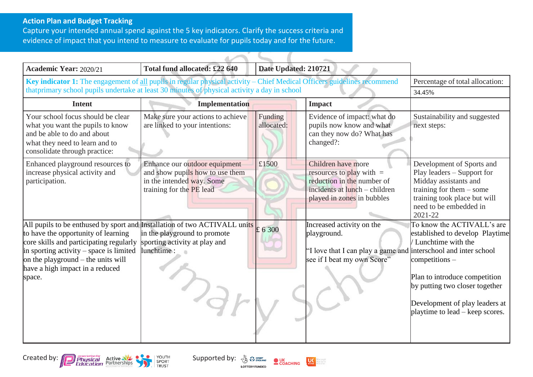### **Action Plan and Budget Tracking**

Capture your intended annual spend against the 5 key indicators. Clarify the success criteria and evidence of impact that you intend to measure to evaluate for pupils today and for the future.

| <b>Academic Year: 2020/21</b>                                                                                                                                                                                                                                                                                  | Total fund allocated: £22 640                                                                                             | Date Updated: 210721  |                                                                                                                                               |                                                                                                                                                                                                                                                 |
|----------------------------------------------------------------------------------------------------------------------------------------------------------------------------------------------------------------------------------------------------------------------------------------------------------------|---------------------------------------------------------------------------------------------------------------------------|-----------------------|-----------------------------------------------------------------------------------------------------------------------------------------------|-------------------------------------------------------------------------------------------------------------------------------------------------------------------------------------------------------------------------------------------------|
| Key indicator 1: The engagement of all pupils in regular physical activity – Chief Medical Officers guidelines recommend                                                                                                                                                                                       |                                                                                                                           |                       | Percentage of total allocation:                                                                                                               |                                                                                                                                                                                                                                                 |
| thatprimary school pupils undertake at least 30 minutes of physical activity a day in school                                                                                                                                                                                                                   |                                                                                                                           |                       |                                                                                                                                               | 34.45%                                                                                                                                                                                                                                          |
| <b>Intent</b>                                                                                                                                                                                                                                                                                                  | <b>Implementation</b>                                                                                                     |                       | <b>Impact</b>                                                                                                                                 |                                                                                                                                                                                                                                                 |
| Your school focus should be clear<br>what you want the pupils to know<br>and be able to do and about<br>what they need to learn and to<br>consolidate through practice:                                                                                                                                        | Make sure your actions to achieve<br>are linked to your intentions:                                                       | Funding<br>allocated: | Evidence of impact: what do<br>pupils now know and what<br>can they now do? What has<br>changed?:                                             | Sustainability and suggested<br>next steps:                                                                                                                                                                                                     |
| Enhanced playground resources to<br>increase physical activity and<br>participation.                                                                                                                                                                                                                           | Enhance our outdoor equipment<br>and show pupils how to use them<br>in the intended way. Some<br>training for the PE lead | £1500                 | Children have more<br>resources to play with $=$<br>reduction in the number of<br>incidents at lunch – children<br>played in zones in bubbles | Development of Sports and<br>Play leaders – Support for<br>Midday assistants and<br>training for them $-$ some<br>training took place but will<br>need to be embedded in<br>2021-22                                                             |
| All pupils to be enthused by sport and Installation of two ACTIVALL units $\epsilon$ 6 300<br>to have the opportunity of learning<br>core skills and participating regularly<br>in sporting activity $-$ space is limited<br>on the playground $-$ the units will<br>have a high impact in a reduced<br>space. | in the playground to promote<br>sporting activity at play and<br>lunchtime :                                              |                       | Increased activity on the<br>playground.<br>"I love that I can play a game and interschool and inter school<br>see if I beat my own Score"    | To know the ACTIVALL's are<br>established to develop Playtime<br>Lunchtime with the<br>$competitions -$<br>Plan to introduce competition<br>by putting two closer together<br>Development of play leaders at<br>playtime to lead – keep scores. |





**LOTTERY FUNDED** 

orepeople<br>oreactive<br>oreatten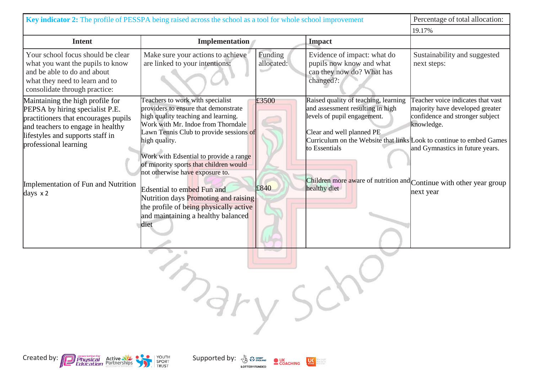| Key indicator 2: The profile of PESSPA being raised across the school as a tool for whole school improvement                                                                                                  |                                                                                                                                                                                                                                                                                                                                          |                       |                                                                                                                                                                                                                               | Percentage of total allocation:                                                                                                                          |
|---------------------------------------------------------------------------------------------------------------------------------------------------------------------------------------------------------------|------------------------------------------------------------------------------------------------------------------------------------------------------------------------------------------------------------------------------------------------------------------------------------------------------------------------------------------|-----------------------|-------------------------------------------------------------------------------------------------------------------------------------------------------------------------------------------------------------------------------|----------------------------------------------------------------------------------------------------------------------------------------------------------|
|                                                                                                                                                                                                               |                                                                                                                                                                                                                                                                                                                                          |                       |                                                                                                                                                                                                                               | 19.17%                                                                                                                                                   |
| <b>Intent</b>                                                                                                                                                                                                 | <b>Implementation</b>                                                                                                                                                                                                                                                                                                                    |                       | <b>Impact</b>                                                                                                                                                                                                                 |                                                                                                                                                          |
| Your school focus should be clear<br>what you want the pupils to know<br>and be able to do and about<br>what they need to learn and to<br>consolidate through practice:                                       | Make sure your actions to achieve<br>are linked to your intentions:                                                                                                                                                                                                                                                                      | Funding<br>allocated: | Evidence of impact: what do<br>pupils now know and what<br>can they now do? What has<br>changed?:                                                                                                                             | Sustainability and suggested<br>next steps:                                                                                                              |
| Maintaining the high profile for<br>PEPSA by hiring specialist P.E.<br>practitioners that encourages pupils<br>and teachers to engage in healthy<br>lifestyles and supports staff in<br>professional learning | Teachers to work with specialist<br>providers to ensure that demonstrate<br>high quality teaching and learning.<br>Work with Mr. Indoe from Thorndale<br>Lawn Tennis Club to provide sessions of<br>high quality.<br>Work with Edsential to provide a range<br>of minority sports that children would<br>not otherwise have exposure to. | £3500                 | Raised quality of teaching, learning<br>and assessment resulting in high<br>levels of pupil engagement.<br>Clear and well planned PE<br>Curriculum on the Website that links Look to continue to embed Games<br>to Essentials | Teacher voice indicates that vast<br>majority have developed greater<br>confidence and stronger subject<br>knowledge.<br>and Gymnastics in future years. |
| Implementation of Fun and Nutrition<br>days $\times$ 2                                                                                                                                                        | Edsential to embed Fun and<br>Nutrition days Promoting and raising<br>the profile of being physically active<br>and maintaining a healthy balanced<br>diet                                                                                                                                                                               | £840                  | Children more aware of nutrition and Continue with other year group<br>healthy diet                                                                                                                                           | next year                                                                                                                                                |
|                                                                                                                                                                                                               | <b>AFV</b>                                                                                                                                                                                                                                                                                                                               |                       |                                                                                                                                                                                                                               |                                                                                                                                                          |

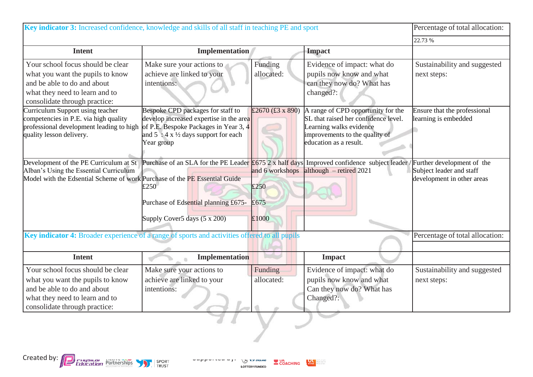| Key indicator 3: Increased confidence, knowledge and skills of all staff in teaching PE and sport                                                                       |                                                                                                                                                                                           |                                          |                                                                                                                                                                   | Percentage of total allocation:                        |
|-------------------------------------------------------------------------------------------------------------------------------------------------------------------------|-------------------------------------------------------------------------------------------------------------------------------------------------------------------------------------------|------------------------------------------|-------------------------------------------------------------------------------------------------------------------------------------------------------------------|--------------------------------------------------------|
|                                                                                                                                                                         |                                                                                                                                                                                           |                                          |                                                                                                                                                                   | 22.73 %                                                |
| <b>Intent</b>                                                                                                                                                           | <b>Implementation</b>                                                                                                                                                                     |                                          | <b>Impact</b>                                                                                                                                                     |                                                        |
| Your school focus should be clear<br>what you want the pupils to know<br>and be able to do and about<br>what they need to learn and to<br>consolidate through practice: | Make sure your actions to<br>achieve are linked to your<br>intentions:                                                                                                                    | Funding<br>allocated:                    | Evidence of impact: what do<br>pupils now know and what<br>can they now do? What has<br>changed?:                                                                 | Sustainability and suggested<br>next steps:            |
| Curriculum Support using teacher<br>competencies in P.E. via high quality<br>professional development leading to high<br>quality lesson delivery.                       | Bespoke CPD packages for staff to<br>develop increased expertise in the area<br>of P.E. Bespoke Packages in Year 3, 4<br>and $5:4 \times \frac{1}{2}$ days support for each<br>Year group | £2670 (£3 x 890)                         | A range of CPD opportunity for the<br>SL that raised her confidence level.<br>Learning walks evidence<br>improvements to the quality of<br>education as a result. | Ensure that the professional<br>learning is embedded   |
| Development of the PE Curriculum at St<br>Alban's Using the Essential Curriculum<br>Model with the Edsential Scheme of work Purchase of the PE Essential Guide          | Purchase of an SLA for the PE Leader $£675$ 2 x half days<br>£250<br>Purchase of Edsential planning £675-<br>Supply Cover5 days (5 x 200)                                                 | and 6 workshops<br>£250<br>£675<br>£1000 | Improved confidence subject leader / Further development of the<br>$\lambda$ lalthough – retired 2021                                                             | Subject leader and staff<br>development in other areas |
| Key indicator 4: Broader experience of a range of sports and activities offered to all pupils                                                                           |                                                                                                                                                                                           |                                          |                                                                                                                                                                   | Percentage of total allocation:                        |
| <b>Intent</b>                                                                                                                                                           | Implementation                                                                                                                                                                            |                                          | <b>Impact</b>                                                                                                                                                     |                                                        |
| Your school focus should be clear<br>what you want the pupils to know<br>and be able to do and about<br>what they need to learn and to<br>consolidate through practice: | Make sure your actions to<br>achieve are linked to your<br>intentions:                                                                                                                    | Funding<br>allocated:                    | Evidence of impact: what do<br>pupils now know and what<br>Can they now do? What has<br>Changed?:                                                                 | Sustainability and suggested<br>next steps:            |
|                                                                                                                                                                         |                                                                                                                                                                                           |                                          |                                                                                                                                                                   |                                                        |



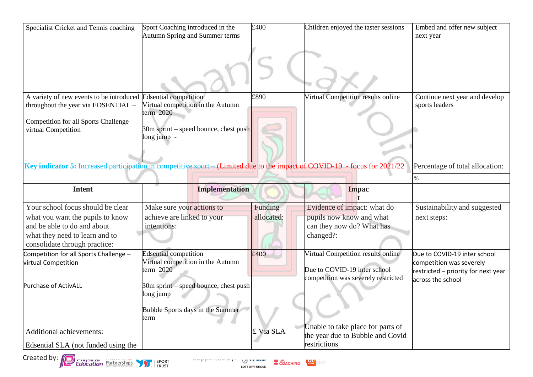| Specialist Cricket and Tennis coaching                                                                                           | Sport Coaching introduced in the<br>Autumn Spring and Summer terms               | £400       | Children enjoyed the taster sessions                                                                      | Embed and offer new subject<br>next year                                                                             |
|----------------------------------------------------------------------------------------------------------------------------------|----------------------------------------------------------------------------------|------------|-----------------------------------------------------------------------------------------------------------|----------------------------------------------------------------------------------------------------------------------|
|                                                                                                                                  |                                                                                  |            |                                                                                                           |                                                                                                                      |
| A variety of new events to be introduced Edsential competition<br>throughout the year via EDSENTIAL -                            | Virtual competition in the Autumn<br>term $2020$                                 | £890       | Virtual Competition results online                                                                        | Continue next year and develop<br>sports leaders                                                                     |
| Competition for all Sports Challenge -<br>virtual Competition                                                                    | 30m sprint – speed bounce, chest push<br>long jump -                             |            |                                                                                                           |                                                                                                                      |
| Key indicator 5: Increased participation in competitive sport – (Limited due to the impact of COVID-19 - focus for 2021/22       |                                                                                  |            |                                                                                                           | Percentage of total allocation:                                                                                      |
|                                                                                                                                  |                                                                                  |            |                                                                                                           | %                                                                                                                    |
| <b>Intent</b>                                                                                                                    | <b>Implementation</b>                                                            |            | <b>Impac</b>                                                                                              |                                                                                                                      |
| Your school focus should be clear                                                                                                | Make sure your actions to                                                        | Funding    | Evidence of impact: what do                                                                               | Sustainability and suggested                                                                                         |
| what you want the pupils to know                                                                                                 | achieve are linked to your                                                       | allocated: | pupils now know and what                                                                                  | next steps:                                                                                                          |
| and be able to do and about                                                                                                      | intentions:                                                                      |            | can they now do? What has                                                                                 |                                                                                                                      |
| what they need to learn and to<br>consolidate through practice:                                                                  |                                                                                  |            | changed?:                                                                                                 |                                                                                                                      |
| Competition for all Sports Challenge -<br>virtual Competition                                                                    | <b>Edsential competition</b><br>Virtual competition in the Autumn<br>term $2020$ | £400       | Virtual Competition results online<br>Due to COVID-19 inter school<br>competition was severely restricted | Due to COVID-19 inter school<br>competition was severely<br>restricted - priority for next year<br>across the school |
| Purchase of ActivALL                                                                                                             | 30m sprint – speed bounce, chest push<br>long jump                               |            |                                                                                                           |                                                                                                                      |
|                                                                                                                                  | Bubble Sports days in the Summer<br>term                                         |            |                                                                                                           |                                                                                                                      |
| Additional achievements:                                                                                                         |                                                                                  | £ Via SLA  | Unable to take place for parts of<br>the year due to Bubble and Covid                                     |                                                                                                                      |
| Edsential SLA (not funded using the                                                                                              |                                                                                  |            | restrictions                                                                                              |                                                                                                                      |
| Created by: (a)<br>Education Partnerships<br>SPORT<br>COACHING<br><b>Only Margarity</b><br><b>TRUST</b><br><b>LOTTERY FUNDED</b> |                                                                                  |            |                                                                                                           |                                                                                                                      |